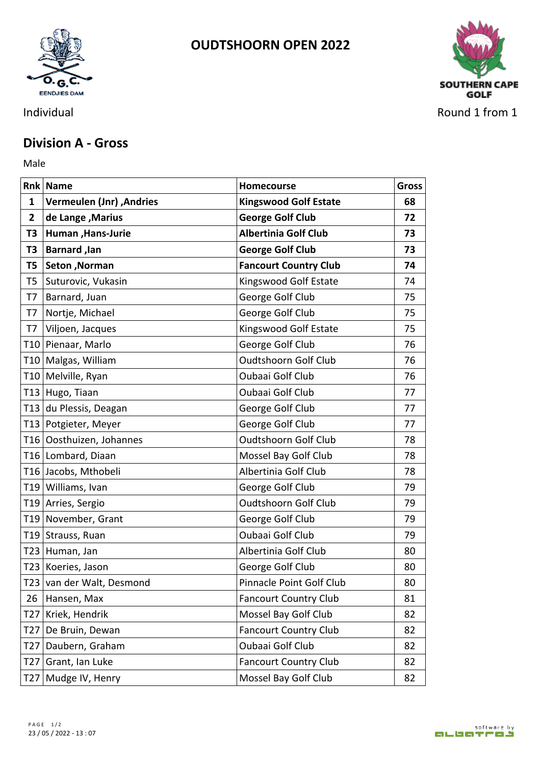



## **Division A - Gross**

Male **Male** 

|     | <b>Rnk Name</b>                 | <b>Homecourse</b>            | <b>Gross</b> |
|-----|---------------------------------|------------------------------|--------------|
| 1   | <b>Vermeulen (Jnr), Andries</b> | <b>Kingswood Golf Estate</b> | 68           |
| 2   | de Lange, Marius                | <b>George Golf Club</b>      | 72           |
| T3  | Human, Hans-Jurie               | <b>Albertinia Golf Club</b>  | 73           |
| T3  | <b>Barnard, Jan</b>             | <b>George Golf Club</b>      | 73           |
| T5  | Seton, Norman                   | <b>Fancourt Country Club</b> | 74           |
| T5  | Suturovic, Vukasin              | Kingswood Golf Estate        | 74           |
| T7  | Barnard, Juan                   | George Golf Club             | 75           |
| T7  | Nortje, Michael                 | George Golf Club             | 75           |
| T7  | Viljoen, Jacques                | Kingswood Golf Estate        | 75           |
|     | T10 Pienaar, Marlo              | George Golf Club             | 76           |
|     | T10 Malgas, William             | <b>Oudtshoorn Golf Club</b>  | 76           |
|     | T10 Melville, Ryan              | Oubaai Golf Club             | 76           |
|     | T13 Hugo, Tiaan                 | Oubaai Golf Club             | 77           |
|     | T13 du Plessis, Deagan          | George Golf Club             | 77           |
|     | T13 Potgieter, Meyer            | George Golf Club             | 77           |
|     | T16 Oosthuizen, Johannes        | <b>Oudtshoorn Golf Club</b>  | 78           |
|     | T16 Lombard, Diaan              | Mossel Bay Golf Club         | 78           |
|     | T16 Jacobs, Mthobeli            | Albertinia Golf Club         | 78           |
|     | T19 Williams, Ivan              | George Golf Club             | 79           |
|     | T19 Arries, Sergio              | <b>Oudtshoorn Golf Club</b>  | 79           |
|     | T19 November, Grant             | George Golf Club             | 79           |
|     | T19 Strauss, Ruan               | Oubaai Golf Club             | 79           |
|     | T23 Human, Jan                  | Albertinia Golf Club         | 80           |
|     | T23 Koeries, Jason              | George Golf Club             | 80           |
|     | T23 van der Walt, Desmond       | Pinnacle Point Golf Club     | 80           |
|     | 26   Hansen, Max                | <b>Fancourt Country Club</b> | 81           |
|     | T27 Kriek, Hendrik              | Mossel Bay Golf Club         | 82           |
| T27 | De Bruin, Dewan                 | <b>Fancourt Country Club</b> | 82           |
| T27 | Daubern, Graham                 | Oubaai Golf Club             | 82           |
|     | T27 Grant, Ian Luke             | <b>Fancourt Country Club</b> | 82           |
|     | T27 Mudge IV, Henry             | Mossel Bay Golf Club         | 82           |